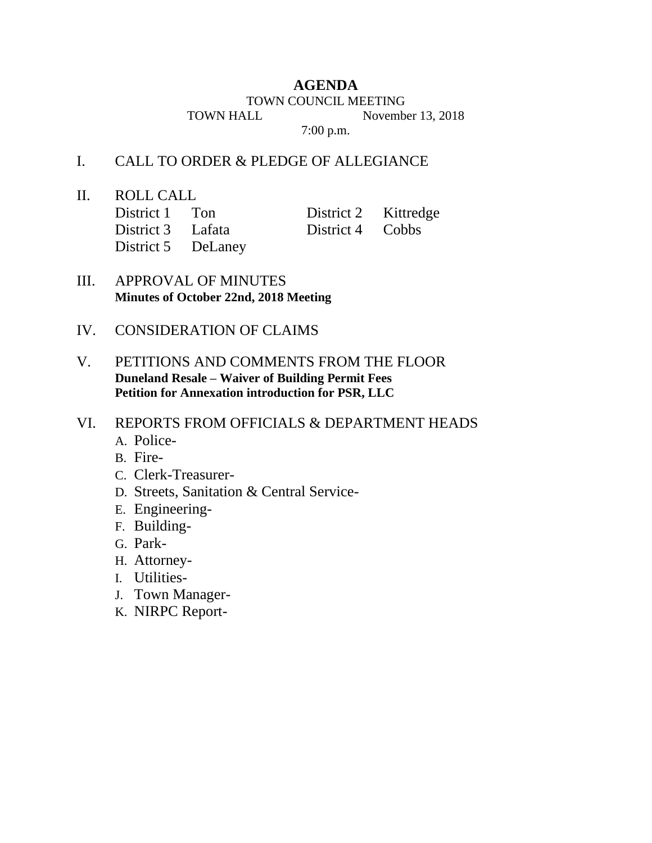## **AGENDA**

TOWN COUNCIL MEETING

TOWN HALL November 13, 2018

7:00 p.m.

## I. CALL TO ORDER & PLEDGE OF ALLEGIANCE

II. ROLL CALL

| District 1 Ton     | District 2 Kittredge |  |
|--------------------|----------------------|--|
| District 3 Lafata  | District 4 Cobbs     |  |
| District 5 DeLaney |                      |  |

- III. APPROVAL OF MINUTES **Minutes of October 22nd, 2018 Meeting**
- IV. CONSIDERATION OF CLAIMS
- V. PETITIONS AND COMMENTS FROM THE FLOOR **Duneland Resale – Waiver of Building Permit Fees Petition for Annexation introduction for PSR, LLC**
- VI. REPORTS FROM OFFICIALS & DEPARTMENT HEADS
	- A. Police-
	- B. Fire-
	- C. Clerk-Treasurer-
	- D. Streets, Sanitation & Central Service-
	- E. Engineering-
	- F. Building-
	- G. Park-
	- H. Attorney-
	- I. Utilities-
	- J. Town Manager-
	- K. NIRPC Report-